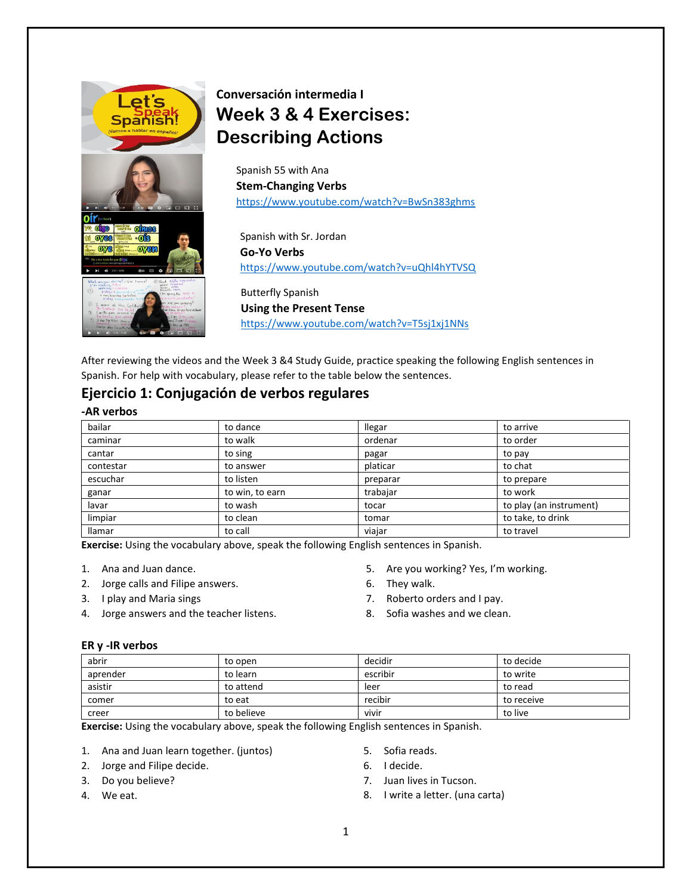

# **Conversación intermedia I Week 3 & 4 Exercises: Describing Actions**

Spanish 55 with Ana **Stem-Changing Verbs** <https://www.youtube.com/watch?v=BwSn383ghms>

Spanish with Sr. Jordan **Go-Yo Verbs** <https://www.youtube.com/watch?v=uQhl4hYTVSQ>

Butterfly Spanish **Using the Present Tense** <https://www.youtube.com/watch?v=T5sj1xj1NNs>

After reviewing the videos and the Week 3 &4 Study Guide, practice speaking the following English sentences in Spanish. For help with vocabulary, please refer to the table below the sentences.

## **Ejercicio 1: Conjugación de verbos regulares**

### **-AR verbos**

| bailar    | to dance        | <b>Ilegar</b> | to arrive               |
|-----------|-----------------|---------------|-------------------------|
| caminar   | to walk         | ordenar       | to order                |
| cantar    | to sing         | pagar         | to pay                  |
| contestar | to answer       | platicar      | to chat                 |
| escuchar  | to listen       | preparar      | to prepare              |
| ganar     | to win, to earn | trabajar      | to work                 |
| lavar     | to wash         | tocar         | to play (an instrument) |
| limpiar   | to clean        | tomar         | to take, to drink       |
| llamar    | to call         | viajar        | to travel               |

**Exercise:** Using the vocabulary above, speak the following English sentences in Spanish.

- 1. Ana and Juan dance.
- 2. Jorge calls and Filipe answers.
- 3. I play and Maria sings
- 4. Jorge answers and the teacher listens.
- 5. Are you working? Yes, I'm working.
- 6. They walk.
- 7. Roberto orders and I pay.
- 8. Sofia washes and we clean.

### **ER y -IR verbos**

| abrir    | to open    | decidir  | to decide  |
|----------|------------|----------|------------|
| aprender | to learn   | escribir | to write   |
| asistir  | to attend  | leer     | to read    |
| comer    | to eat     | recibir  | to receive |
| creer    | to believe | vivir    | to live    |

**Exercise:** Using the vocabulary above, speak the following English sentences in Spanish.

- 1. Ana and Juan learn together. (juntos)
- 2. Jorge and Filipe decide.
- 6. I decide.
- 7. Juan lives in Tucson.

5. Sofia reads.

8. I write a letter. (una carta)

3. Do you believe? 4. We eat.

1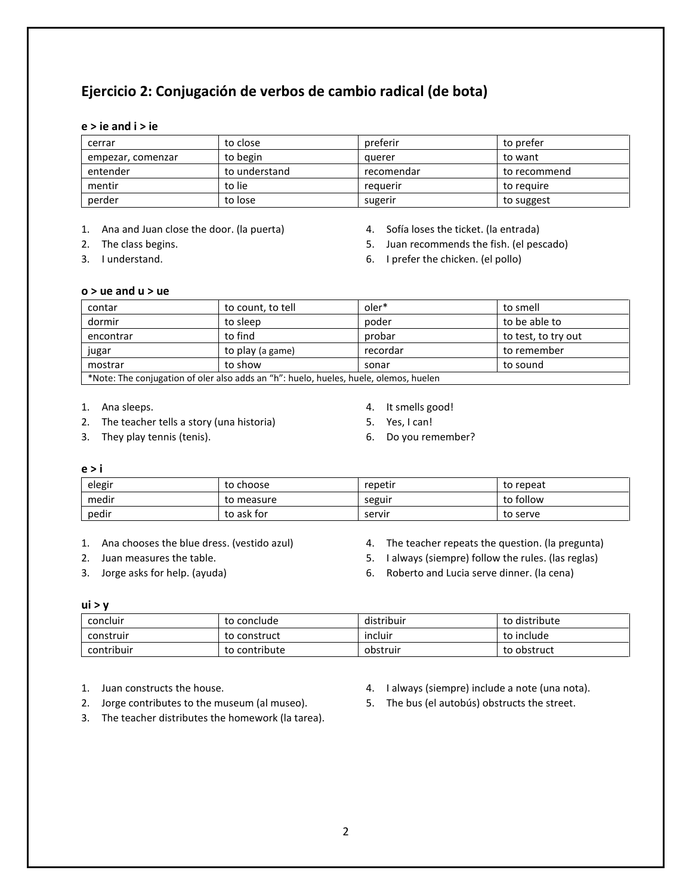## **Ejercicio 2: Conjugación de verbos de cambio radical (de bota)**

### **e > ie and i > ie**

| cerrar            | to close      | preferir   | to prefer    |
|-------------------|---------------|------------|--------------|
| empezar, comenzar | to begin      | auerer     | to want      |
| entender          | to understand | recomendar | to recommend |
| mentir            | to lie        | reguerir   | to reguire   |
| perder            | to lose       | sugerir    | to suggest   |

1. Ana and Juan close the door. (la puerta)

- 2. The class begins.
- 3. I understand.
- 4. Sofía loses the ticket. (la entrada)
- 5. Juan recommends the fish. (el pescado)
- 6. I prefer the chicken. (el pollo)

## **o > ue and u > ue**

| contar                                                                                | to count, to tell | oler*    | to smell            |  |
|---------------------------------------------------------------------------------------|-------------------|----------|---------------------|--|
| dormir                                                                                | to sleep          | poder    | to be able to       |  |
| encontrar                                                                             | to find           | probar   | to test, to try out |  |
| jugar                                                                                 | to play (a game)  | recordar | to remember         |  |
| mostrar                                                                               | to show           | sonar    | to sound            |  |
| *Note: The conjugation of oler also adds an "h": huelo, hueles, huele, olemos, huelen |                   |          |                     |  |

1. Ana sleeps.

- 2. The teacher tells a story (una historia)
- 3. They play tennis (tenis).
- 4. It smells good!
- 5. Yes, I can!
- 6. Do you remember?

#### **e > i**

| elegir | to choose  | repetir | to repeat |
|--------|------------|---------|-----------|
| medir  | to measure | seguir  | to follow |
| pedir  | to ask for | servir  | to serve  |

1. Ana chooses the blue dress. (vestido azul)

- 2. Juan measures the table.
- 3. Jorge asks for help. (ayuda)
- 4. The teacher repeats the question. (la pregunta)
- 5. I always (siempre) follow the rules. (las reglas)
- 6. Roberto and Lucia serve dinner. (la cena)

#### **ui > y**

| concluir   | to conclude   | distribuir | to distribute |
|------------|---------------|------------|---------------|
| construir  | to construct  | incluir    | to include    |
| contribuir | to contribute | obstruir   | to obstruct   |

- 1. Juan constructs the house.
- 2. Jorge contributes to the museum (al museo).
- 3. The teacher distributes the homework (la tarea).
- 4. I always (siempre) include a note (una nota).
- 5. The bus (el autobús) obstructs the street.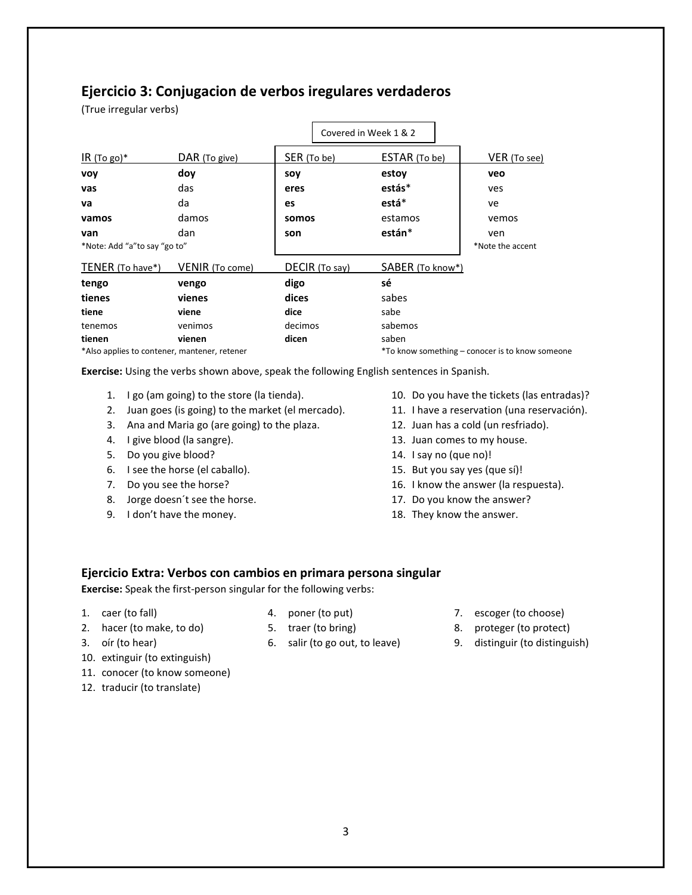## **Ejercicio 3: Conjugacion de verbos iregulares verdaderos**

(True irregular verbs)

|                                              |                 |             |                | Covered in Week 1 & 2 |                                                 |
|----------------------------------------------|-----------------|-------------|----------------|-----------------------|-------------------------------------------------|
| $IR(Togo)*$                                  | DAR (To give)   | SER (To be) |                | ESTAR (To be)         | VER (To see)                                    |
| <b>VOY</b>                                   | doy             | soy         |                | estoy                 | veo                                             |
| vas                                          | das             | eres        |                | estás*                | ves                                             |
| va                                           | da              | es          |                | está*                 | ve                                              |
| vamos                                        | damos           | somos       |                | estamos               | vemos                                           |
| van                                          | dan             | son         |                | están*                | ven                                             |
| *Note: Add "a"to say "go to"                 |                 |             |                |                       | *Note the accent                                |
| TENER (To have*)                             | VENIR (To come) |             | DECIR (To say) | SABER (To know*)      |                                                 |
| tengo                                        | vengo           | digo        |                | sé                    |                                                 |
| tienes                                       | vienes          | dices       |                | sabes                 |                                                 |
| tiene                                        | viene           | dice        |                | sabe                  |                                                 |
| tenemos                                      | venimos         | decimos     |                | sabemos               |                                                 |
| tienen                                       | vienen          | dicen       |                | saben                 |                                                 |
| *Also applies to contener, mantener, retener |                 |             |                |                       | *To know something – conocer is to know someone |

**Exercise:** Using the verbs shown above, speak the following English sentences in Spanish.

- 1. I go (am going) to the store (la tienda).
- 2. Juan goes (is going) to the market (el mercado).
- 3. Ana and Maria go (are going) to the plaza.
- 4. I give blood (la sangre).
- 5. Do you give blood?
- 6. I see the horse (el caballo).
- 7. Do you see the horse?
- 8. Jorge doesn´t see the horse.
- 9. I don't have the money.
- 10. Do you have the tickets (las entradas)?
- 11. I have a reservation (una reservación).
- 12. Juan has a cold (un resfriado).
- 13. Juan comes to my house.
- 14. I say no (que no)!
- 15. But you say yes (que sí)!
- 16. I know the answer (la respuesta).
- 17. Do you know the answer?
- 18. They know the answer.

### **Ejercicio Extra: Verbos con cambios en primara persona singular**

**Exercise:** Speak the first-person singular for the following verbs:

1. caer (to fall)

- 4. poner (to put)
- 2. hacer (to make, to do)
- 5. traer (to bring) 6. salir (to go out, to leave)
- 3. oír (to hear)
- 10. extinguir (to extinguish)
- 11. conocer (to know someone)
- 12. traducir (to translate)
- 

- 7. escoger (to choose)
- 8. proteger (to protect)
- 9. distinguir (to distinguish)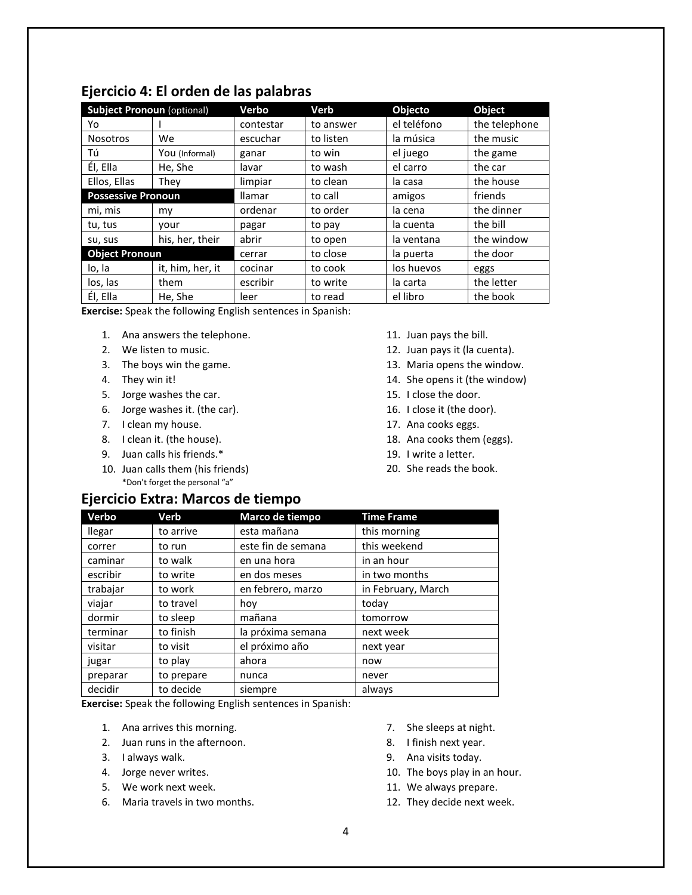| <b>Subject Pronoun (optional)</b> |                  | <b>Verbo</b>  | Verb      | Objecto     | Object        |
|-----------------------------------|------------------|---------------|-----------|-------------|---------------|
| Yo                                |                  | contestar     | to answer | el teléfono | the telephone |
| <b>Nosotros</b>                   | We.              | escuchar      | to listen | la música   | the music     |
| Τú                                | You (Informal)   | ganar         | to win    | el juego    | the game      |
| Él, Ella                          | He, She          | lavar         | to wash   | el carro    | the car       |
| Ellos, Ellas                      | Thev             | limpiar       | to clean  | la casa     | the house     |
| <b>Possessive Pronoun</b>         |                  | <b>Ilamar</b> | to call   | amigos      | friends       |
| mi, mis                           | my               | ordenar       | to order  | la cena     | the dinner    |
| tu, tus                           | vour             | pagar         | to pay    | la cuenta   | the bill      |
| su, sus                           | his, her, their  | abrir         | to open   | la ventana  | the window    |
| <b>Object Pronoun</b>             |                  | cerrar        | to close  | la puerta   | the door      |
| lo, la                            | it, him, her, it | cocinar       | to cook   | los huevos  | eggs          |
| los, las                          | them             | escribir      | to write  | la carta    | the letter    |
| Él, Ella                          | He, She          | leer          | to read   | el libro    | the book      |

## **Ejercicio 4: El orden de las palabras**

**Exercise:** Speak the following English sentences in Spanish:

- 1. Ana answers the telephone.
- 2. We listen to music.
- 3. The boys win the game.
- 4. They win it!
- 5. Jorge washes the car.
- 6. Jorge washes it. (the car).
- 7. I clean my house.
- 8. I clean it. (the house).
- 9. Juan calls his friends.\*
- 10. Juan calls them (his friends) \*Don't forget the personal "a"
- **Ejercicio Extra: Marcos de tiempo**
- 11. Juan pays the bill.
- 12. Juan pays it (la cuenta).
- 13. Maria opens the window.
- 14. She opens it (the window)
- 15. I close the door.
- 16. I close it (the door).
- 17. Ana cooks eggs.
- 18. Ana cooks them (eggs).
- 19. I write a letter.
- 20. She reads the book.

| Verbo         | Verb       | Marco de tiempo    | <b>Time Frame</b>  |
|---------------|------------|--------------------|--------------------|
| <b>Ilegar</b> | to arrive  | esta mañana        | this morning       |
| correr        | to run     | este fin de semana | this weekend       |
| caminar       | to walk    | en una hora        | in an hour         |
| escribir      | to write   | en dos meses       | in two months      |
| trabajar      | to work    | en febrero, marzo  | in February, March |
| viajar        | to travel  | hoy                | today              |
| dormir        | to sleep   | mañana             | tomorrow           |
| terminar      | to finish  | la próxima semana  | next week          |
| visitar       | to visit   | el próximo año     | next year          |
| jugar         | to play    | ahora              | now                |
| preparar      | to prepare | nunca              | never              |
| decidir       | to decide  | siempre            | always             |

**Exercise:** Speak the following English sentences in Spanish:

- 1. Ana arrives this morning.
- 2. Juan runs in the afternoon.
- 3. I always walk.
- 4. Jorge never writes.
- 5. We work next week.
- 6. Maria travels in two months.
- 7. She sleeps at night.
- 8. I finish next year.
- 9. Ana visits today.
- 10. The boys play in an hour.
- 11. We always prepare.
- 12. They decide next week.